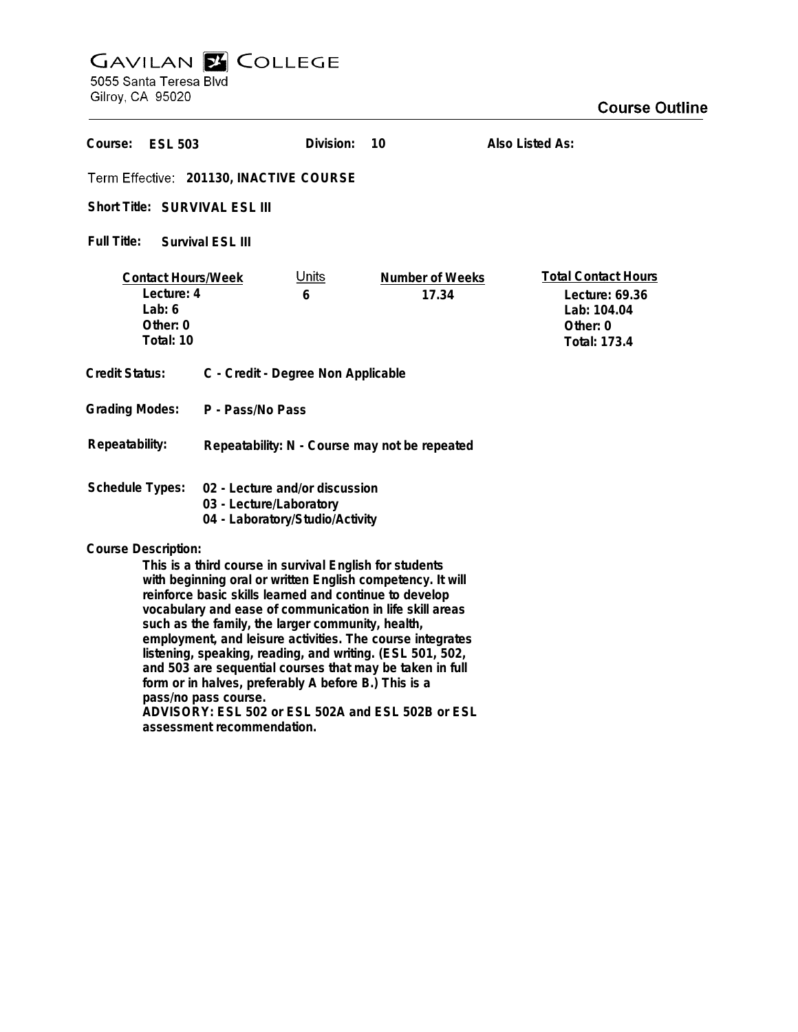## **GAVILAN E COLLEGE**<br>5055 Santa Teresa Blvd

Gilroy, CA 95020

| Course:<br><b>ESL 503</b>                                                                                                                                                                                                                                                                                                                                                                                                                                                                                                                                                                                                                                 |                                                                                              | Division:<br>10                 | Also Listed As:                                                                                |
|-----------------------------------------------------------------------------------------------------------------------------------------------------------------------------------------------------------------------------------------------------------------------------------------------------------------------------------------------------------------------------------------------------------------------------------------------------------------------------------------------------------------------------------------------------------------------------------------------------------------------------------------------------------|----------------------------------------------------------------------------------------------|---------------------------------|------------------------------------------------------------------------------------------------|
| Term Effective: 201130, INACTIVE COURSE                                                                                                                                                                                                                                                                                                                                                                                                                                                                                                                                                                                                                   |                                                                                              |                                 |                                                                                                |
| Short Title: SURVIVAL ESL III                                                                                                                                                                                                                                                                                                                                                                                                                                                                                                                                                                                                                             |                                                                                              |                                 |                                                                                                |
| Full Title:<br>Survival ESL III                                                                                                                                                                                                                                                                                                                                                                                                                                                                                                                                                                                                                           |                                                                                              |                                 |                                                                                                |
| <b>Contact Hours/Week</b><br>Lecture: 4<br>Lab: $6$<br>Other: 0<br>Total: 10                                                                                                                                                                                                                                                                                                                                                                                                                                                                                                                                                                              | <u>Units</u><br>6                                                                            | <b>Number of Weeks</b><br>17.34 | <b>Total Contact Hours</b><br>Lecture: 69.36<br>Lab: 104.04<br>Other: 0<br><b>Total: 173.4</b> |
| <b>Credit Status:</b><br>C - Credit - Degree Non Applicable                                                                                                                                                                                                                                                                                                                                                                                                                                                                                                                                                                                               |                                                                                              |                                 |                                                                                                |
| <b>Grading Modes:</b><br>P - Pass/No Pass                                                                                                                                                                                                                                                                                                                                                                                                                                                                                                                                                                                                                 |                                                                                              |                                 |                                                                                                |
| Repeatability:<br>Repeatability: N - Course may not be repeated                                                                                                                                                                                                                                                                                                                                                                                                                                                                                                                                                                                           |                                                                                              |                                 |                                                                                                |
| <b>Schedule Types:</b>                                                                                                                                                                                                                                                                                                                                                                                                                                                                                                                                                                                                                                    | 02 - Lecture and/or discussion<br>03 - Lecture/Laboratory<br>04 - Laboratory/Studio/Activity |                                 |                                                                                                |
| <b>Course Description:</b><br>This is a third course in survival English for students<br>with beginning oral or written English competency. It will<br>reinforce basic skills learned and continue to develop<br>vocabulary and ease of communication in life skill areas<br>such as the family, the larger community, health,<br>employment, and leisure activities. The course integrates<br>listening, speaking, reading, and writing. (ESL 501, 502,<br>and 503 are sequential courses that may be taken in full<br>form or in halves, preferably A before B.) This is a<br>pass/no pass course.<br>ADVISORY: ESL 502 or ESL 502A and ESL 502B or ESL |                                                                                              |                                 |                                                                                                |

**assessment recommendation.**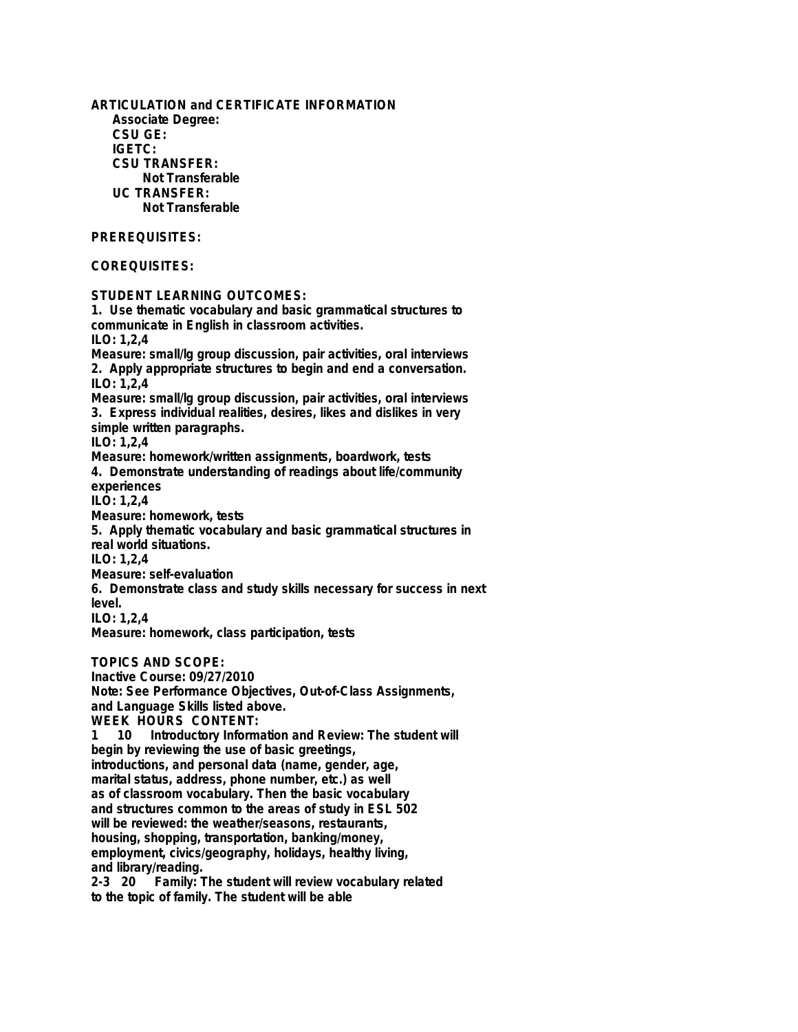**ARTICULATION and CERTIFICATE INFORMATION Associate Degree: CSU GE: IGETC: CSU TRANSFER: Not Transferable UC TRANSFER: Not Transferable PREREQUISITES: COREQUISITES: STUDENT LEARNING OUTCOMES: 1. Use thematic vocabulary and basic grammatical structures to communicate in English in classroom activities. ILO: 1,2,4 Measure: small/lg group discussion, pair activities, oral interviews 2. Apply appropriate structures to begin and end a conversation. ILO: 1,2,4 Measure: small/lg group discussion, pair activities, oral interviews 3. Express individual realities, desires, likes and dislikes in very simple written paragraphs. ILO: 1,2,4 Measure: homework/written assignments, boardwork, tests 4. Demonstrate understanding of readings about life/community experiences ILO: 1,2,4 Measure: homework, tests 5. Apply thematic vocabulary and basic grammatical structures in real world situations. ILO: 1,2,4 Measure: self-evaluation 6. Demonstrate class and study skills necessary for success in next level. ILO: 1,2,4 Measure: homework, class participation, tests TOPICS AND SCOPE: Inactive Course: 09/27/2010 Note: See Performance Objectives, Out-of-Class Assignments, and Language Skills listed above. WEEK HOURS CONTENT: 1 10 Introductory Information and Review: The student will begin by reviewing the use of basic greetings, introductions, and personal data (name, gender, age, marital status, address, phone number, etc.) as well as of classroom vocabulary. Then the basic vocabulary and structures common to the areas of study in ESL 502 will be reviewed: the weather/seasons, restaurants, housing, shopping, transportation, banking/money, employment, civics/geography, holidays, healthy living, and library/reading.**

**2-3 20 Family: The student will review vocabulary related to the topic of family. The student will be able**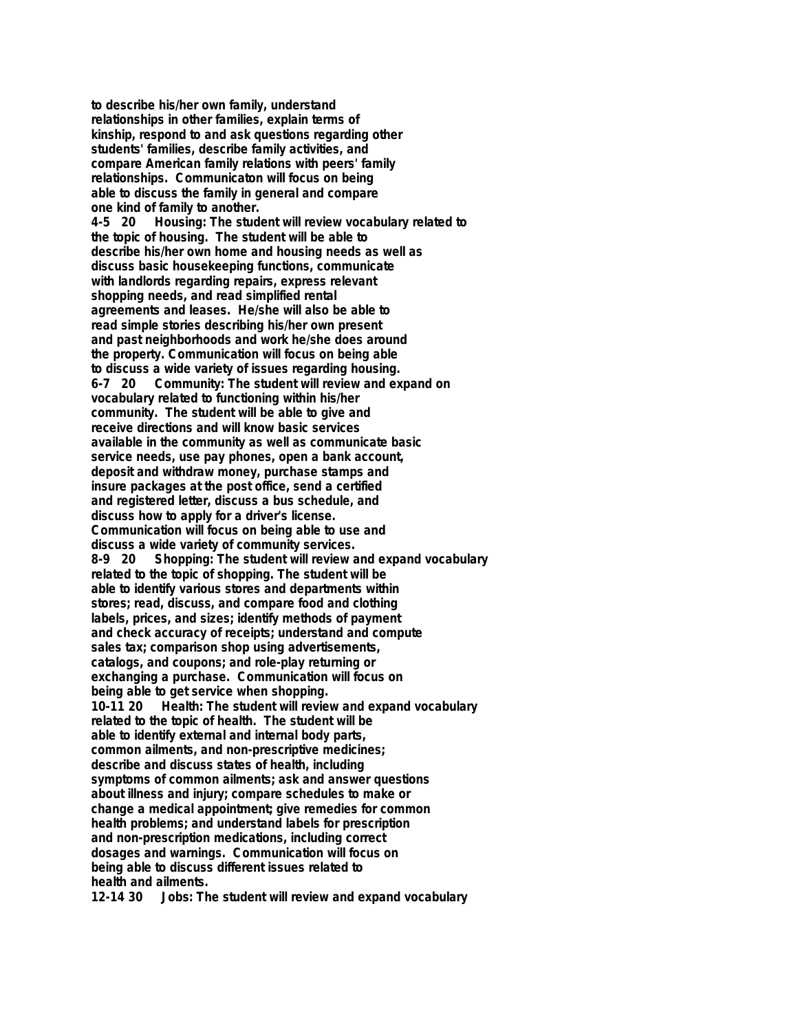**to describe his/her own family, understand relationships in other families, explain terms of kinship, respond to and ask questions regarding other students' families, describe family activities, and compare American family relations with peers' family relationships. Communicaton will focus on being able to discuss the family in general and compare**

**one kind of family to another. 4-5 20 Housing: The student will review vocabulary related to the topic of housing. The student will be able to describe his/her own home and housing needs as well as discuss basic housekeeping functions, communicate with landlords regarding repairs, express relevant shopping needs, and read simplified rental agreements and leases. He/she will also be able to read simple stories describing his/her own present and past neighborhoods and work he/she does around the property. Communication will focus on being able to discuss a wide variety of issues regarding housing. 6-7 20 Community: The student will review and expand on vocabulary related to functioning within his/her community. The student will be able to give and receive directions and will know basic services available in the community as well as communicate basic service needs, use pay phones, open a bank account, deposit and withdraw money, purchase stamps and insure packages at the post office, send a certified and registered letter, discuss a bus schedule, and discuss how to apply for a driver's license. Communication will focus on being able to use and discuss a wide variety of community services. 8-9 20 Shopping: The student will review and expand vocabulary related to the topic of shopping. The student will be able to identify various stores and departments within stores; read, discuss, and compare food and clothing labels, prices, and sizes; identify methods of payment and check accuracy of receipts; understand and compute sales tax; comparison shop using advertisements, catalogs, and coupons; and role-play returning or exchanging a purchase. Communication will focus on being able to get service when shopping. 10-11 20 Health: The student will review and expand vocabulary related to the topic of health. The student will be able to identify external and internal body parts, common ailments, and non-prescriptive medicines; describe and discuss states of health, including symptoms of common ailments; ask and answer questions about illness and injury; compare schedules to make or change a medical appointment; give remedies for common health problems; and understand labels for prescription and non-prescription medications, including correct dosages and warnings. Communication will focus on being able to discuss different issues related to health and ailments. 12-14 30 Jobs: The student will review and expand vocabulary**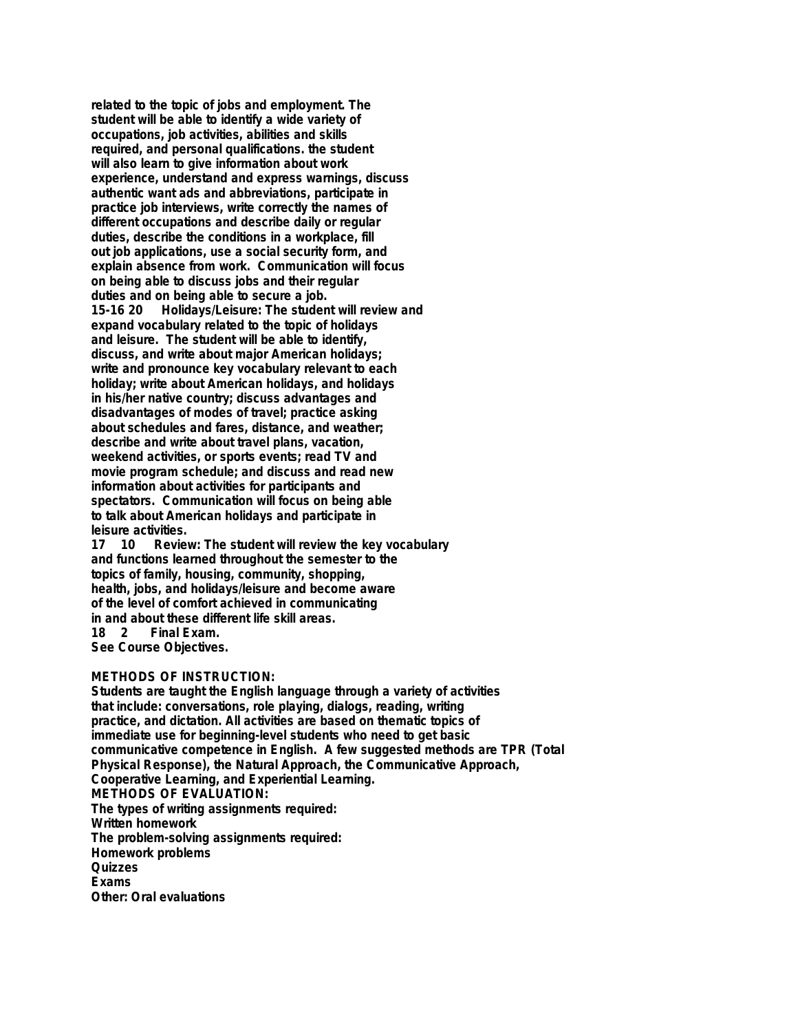**related to the topic of jobs and employment. The student will be able to identify a wide variety of occupations, job activities, abilities and skills required, and personal qualifications. the student will also learn to give information about work experience, understand and express warnings, discuss authentic want ads and abbreviations, participate in practice job interviews, write correctly the names of different occupations and describe daily or regular duties, describe the conditions in a workplace, fill out job applications, use a social security form, and explain absence from work. Communication will focus on being able to discuss jobs and their regular duties and on being able to secure a job. 15-16 20 Holidays/Leisure: The student will review and expand vocabulary related to the topic of holidays and leisure. The student will be able to identify, discuss, and write about major American holidays; write and pronounce key vocabulary relevant to each holiday; write about American holidays, and holidays in his/her native country; discuss advantages and disadvantages of modes of travel; practice asking about schedules and fares, distance, and weather; describe and write about travel plans, vacation, weekend activities, or sports events; read TV and movie program schedule; and discuss and read new information about activities for participants and spectators. Communication will focus on being able to talk about American holidays and participate in**

**leisure activities. 17 10 Review: The student will review the key vocabulary and functions learned throughout the semester to the topics of family, housing, community, shopping, health, jobs, and holidays/leisure and become aware of the level of comfort achieved in communicating in and about these different life skill areas.**

**18 2 Final Exam.**

**See Course Objectives.**

## **METHODS OF INSTRUCTION:**

**Students are taught the English language through a variety of activities that include: conversations, role playing, dialogs, reading, writing practice, and dictation. All activities are based on thematic topics of immediate use for beginning-level students who need to get basic communicative competence in English. A few suggested methods are TPR (Total Physical Response), the Natural Approach, the Communicative Approach, Cooperative Learning, and Experiential Learning. METHODS OF EVALUATION: The types of writing assignments required: Written homework The problem-solving assignments required: Homework problems Quizzes Exams Other: Oral evaluations**